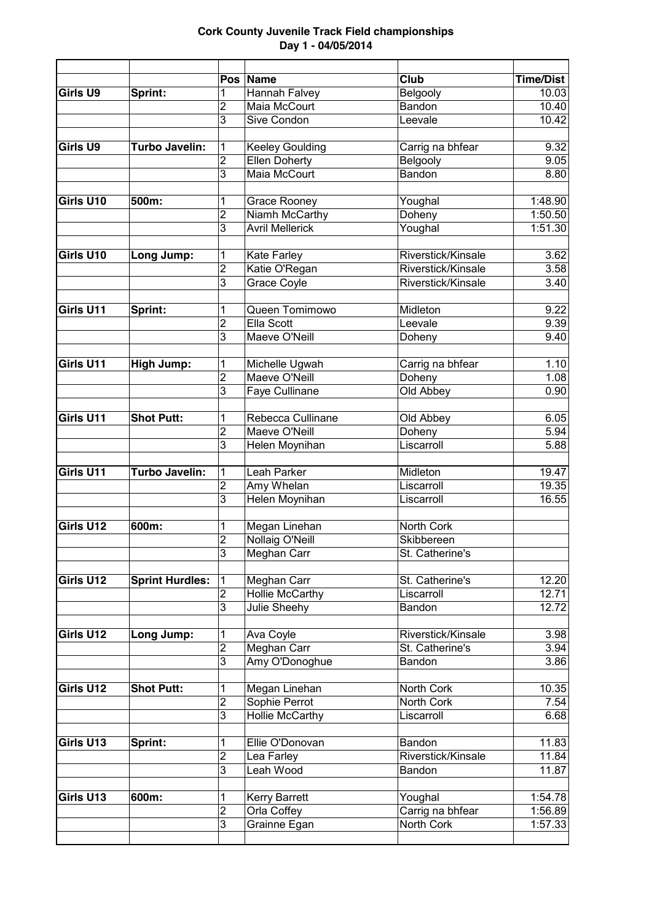| Girls U9  |                        |                                           | Pos Name                            | Club                                  | <b>Time/Dist</b> |
|-----------|------------------------|-------------------------------------------|-------------------------------------|---------------------------------------|------------------|
|           | Sprint:                | 1<br>$\overline{2}$                       | Hannah Falvey<br>Maia McCourt       | Belgooly<br>Bandon                    | 10.03<br>10.40   |
|           |                        | 3                                         | Sive Condon                         | Leevale                               | 10.42            |
|           |                        |                                           |                                     |                                       |                  |
| Girls U9  | Turbo Javelin:         | 1                                         | <b>Keeley Goulding</b>              | Carrig na bhfear                      | 9.32             |
|           |                        | 2                                         | <b>Ellen Doherty</b>                | Belgooly                              | 9.05             |
|           |                        | 3                                         | Maia McCourt                        | <b>Bandon</b>                         | 8.80             |
|           |                        |                                           |                                     |                                       |                  |
| Girls U10 | 500m:                  | 1                                         | <b>Grace Rooney</b>                 | Youghal                               | 1:48.90          |
|           |                        | $\overline{2}$                            | Niamh McCarthy                      | Doheny                                | 1:50.50          |
|           |                        | 3                                         | <b>Avril Mellerick</b>              | Youghal                               | 1:51.30          |
|           |                        |                                           |                                     |                                       |                  |
| Girls U10 | Long Jump:             | 1                                         | Kate Farley                         | Riverstick/Kinsale                    | 3.62             |
|           |                        | $\overline{2}$                            | Katie O'Regan                       | Riverstick/Kinsale                    | 3.58             |
|           |                        | 3                                         | <b>Grace Coyle</b>                  | Riverstick/Kinsale                    | 3.40             |
| Girls U11 |                        |                                           | Queen Tomimowo                      | Midleton                              | 9.22             |
|           | Sprint:                | 1<br>$\overline{2}$                       | Ella Scott                          | Leevale                               | 9.39             |
|           |                        | 3                                         | Maeve O'Neill                       | Doheny                                | 9.40             |
|           |                        |                                           |                                     |                                       |                  |
| Girls U11 | <b>High Jump:</b>      | 1                                         | Michelle Ugwah                      | Carrig na bhfear                      | 1.10             |
|           |                        | $\overline{c}$                            | Maeve O'Neill                       | Doheny                                | 1.08             |
|           |                        | 3                                         | Faye Cullinane                      | Old Abbey                             | 0.90             |
|           |                        |                                           |                                     |                                       |                  |
| Girls U11 | <b>Shot Putt:</b>      | 1                                         | Rebecca Cullinane                   | Old Abbey                             | 6.05             |
|           |                        | $\overline{2}$                            | Maeve O'Neill                       | Doheny                                | 5.94             |
|           |                        | 3                                         | Helen Moynihan                      | Liscarroll                            | 5.88             |
|           |                        |                                           |                                     |                                       |                  |
| Girls U11 | Turbo Javelin:         | 1                                         | Leah Parker                         | Midleton                              | 19.47            |
|           |                        | $\overline{c}$<br>3                       | Amy Whelan<br><b>Helen Moynihan</b> | Liscarroll<br>Liscarroll              | 19.35<br>16.55   |
|           |                        |                                           |                                     |                                       |                  |
| Girls U12 | 600m:                  | 1                                         | Megan Linehan                       | North Cork                            |                  |
|           |                        | 2                                         | Nollaig O'Neill                     | Skibbereen                            |                  |
|           |                        | $\overline{3}$                            | Meghan Carr                         | St. Catherine's                       |                  |
|           |                        |                                           |                                     |                                       |                  |
| Girls U12 | <b>Sprint Hurdles:</b> | 1                                         | Meghan Carr                         | St. Catherine's                       | 12.20            |
|           |                        | $\overline{2}$                            | <b>Hollie McCarthy</b>              | Liscarroll                            | 12.71            |
|           |                        | 3                                         | Julie Sheehy                        | Bandon                                | 12.72            |
|           |                        |                                           |                                     |                                       |                  |
| Girls U12 | Long Jump:             | 1                                         | Ava Coyle                           | Riverstick/Kinsale<br>St. Catherine's | 3.98<br>3.94     |
|           |                        | $\overline{\mathbf{c}}$<br>$\overline{3}$ | Meghan Carr<br>Amy O'Donoghue       | Bandon                                | 3.86             |
|           |                        |                                           |                                     |                                       |                  |
| Girls U12 | <b>Shot Putt:</b>      | 1                                         | Megan Linehan                       | North Cork                            | 10.35            |
|           |                        | 2                                         | Sophie Perrot                       | North Cork                            | 7.54             |
|           |                        | 3                                         | <b>Hollie McCarthy</b>              | Liscarroll                            | 6.68             |
|           |                        |                                           |                                     |                                       |                  |
| Girls U13 | Sprint:                | 1                                         | Ellie O'Donovan                     | Bandon                                | 11.83            |
|           |                        | $\overline{2}$                            | Lea Farley                          | Riverstick/Kinsale                    | 11.84            |
|           |                        | 3                                         | Leah Wood                           | Bandon                                | 11.87            |
| Girls U13 | 600m:                  | 1                                         | <b>Kerry Barrett</b>                | Youghal                               | 1:54.78          |
|           |                        | 2                                         | Orla Coffey                         | Carrig na bhfear                      | 1:56.89          |
|           |                        | 3                                         | Grainne Egan                        | North Cork                            | 1:57.33          |
|           |                        |                                           |                                     |                                       |                  |
|           |                        |                                           |                                     |                                       |                  |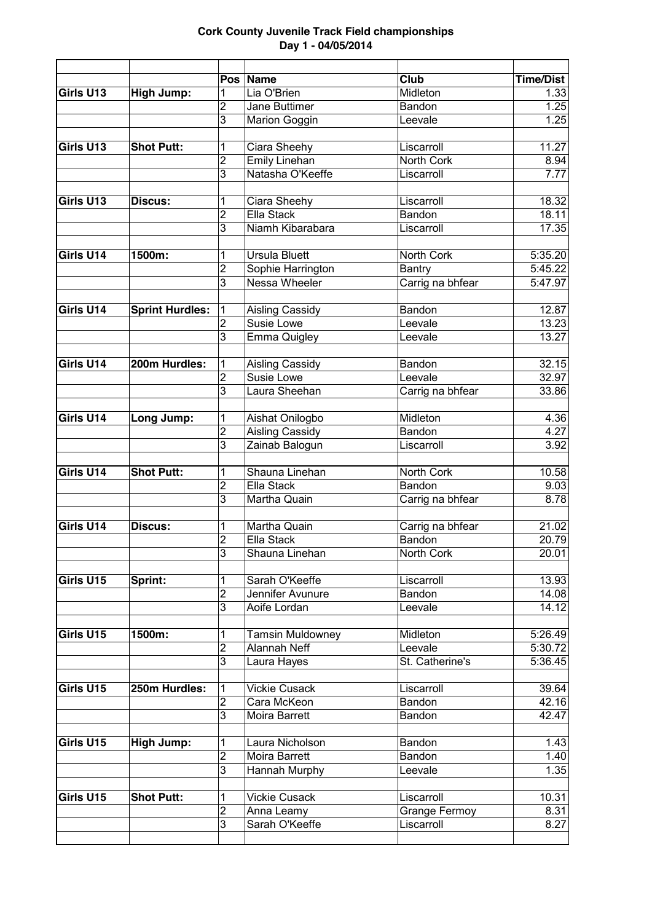|                |                                                                                                                                                                |                                                                                                                                                                                                                                                                                              |                                                                                                                                                                                                                                                                                                                                                                                                                                                                                                                                                                                                                                  | <b>Time/Dist</b>                                                                                                                                                                                                                                                                                                                                                                                        |
|----------------|----------------------------------------------------------------------------------------------------------------------------------------------------------------|----------------------------------------------------------------------------------------------------------------------------------------------------------------------------------------------------------------------------------------------------------------------------------------------|----------------------------------------------------------------------------------------------------------------------------------------------------------------------------------------------------------------------------------------------------------------------------------------------------------------------------------------------------------------------------------------------------------------------------------------------------------------------------------------------------------------------------------------------------------------------------------------------------------------------------------|---------------------------------------------------------------------------------------------------------------------------------------------------------------------------------------------------------------------------------------------------------------------------------------------------------------------------------------------------------------------------------------------------------|
|                |                                                                                                                                                                |                                                                                                                                                                                                                                                                                              |                                                                                                                                                                                                                                                                                                                                                                                                                                                                                                                                                                                                                                  | 1.33                                                                                                                                                                                                                                                                                                                                                                                                    |
|                |                                                                                                                                                                |                                                                                                                                                                                                                                                                                              |                                                                                                                                                                                                                                                                                                                                                                                                                                                                                                                                                                                                                                  | 1.25                                                                                                                                                                                                                                                                                                                                                                                                    |
|                |                                                                                                                                                                |                                                                                                                                                                                                                                                                                              |                                                                                                                                                                                                                                                                                                                                                                                                                                                                                                                                                                                                                                  | 1.25                                                                                                                                                                                                                                                                                                                                                                                                    |
|                |                                                                                                                                                                |                                                                                                                                                                                                                                                                                              |                                                                                                                                                                                                                                                                                                                                                                                                                                                                                                                                                                                                                                  | 11.27                                                                                                                                                                                                                                                                                                                                                                                                   |
|                |                                                                                                                                                                |                                                                                                                                                                                                                                                                                              |                                                                                                                                                                                                                                                                                                                                                                                                                                                                                                                                                                                                                                  | 8.94                                                                                                                                                                                                                                                                                                                                                                                                    |
|                |                                                                                                                                                                |                                                                                                                                                                                                                                                                                              |                                                                                                                                                                                                                                                                                                                                                                                                                                                                                                                                                                                                                                  | 7.77                                                                                                                                                                                                                                                                                                                                                                                                    |
|                |                                                                                                                                                                |                                                                                                                                                                                                                                                                                              |                                                                                                                                                                                                                                                                                                                                                                                                                                                                                                                                                                                                                                  |                                                                                                                                                                                                                                                                                                                                                                                                         |
| <b>Discus:</b> | 1                                                                                                                                                              | Ciara Sheehy                                                                                                                                                                                                                                                                                 | Liscarroll                                                                                                                                                                                                                                                                                                                                                                                                                                                                                                                                                                                                                       | 18.32                                                                                                                                                                                                                                                                                                                                                                                                   |
|                | $\overline{2}$                                                                                                                                                 | Ella Stack                                                                                                                                                                                                                                                                                   | Bandon                                                                                                                                                                                                                                                                                                                                                                                                                                                                                                                                                                                                                           | 18.11                                                                                                                                                                                                                                                                                                                                                                                                   |
|                | 3                                                                                                                                                              | Niamh Kibarabara                                                                                                                                                                                                                                                                             | Liscarroll                                                                                                                                                                                                                                                                                                                                                                                                                                                                                                                                                                                                                       | 17.35                                                                                                                                                                                                                                                                                                                                                                                                   |
|                |                                                                                                                                                                |                                                                                                                                                                                                                                                                                              |                                                                                                                                                                                                                                                                                                                                                                                                                                                                                                                                                                                                                                  |                                                                                                                                                                                                                                                                                                                                                                                                         |
|                |                                                                                                                                                                |                                                                                                                                                                                                                                                                                              |                                                                                                                                                                                                                                                                                                                                                                                                                                                                                                                                                                                                                                  | 5:35.20                                                                                                                                                                                                                                                                                                                                                                                                 |
|                |                                                                                                                                                                |                                                                                                                                                                                                                                                                                              |                                                                                                                                                                                                                                                                                                                                                                                                                                                                                                                                                                                                                                  | 5:45.22                                                                                                                                                                                                                                                                                                                                                                                                 |
|                |                                                                                                                                                                |                                                                                                                                                                                                                                                                                              |                                                                                                                                                                                                                                                                                                                                                                                                                                                                                                                                                                                                                                  | 5:47.97                                                                                                                                                                                                                                                                                                                                                                                                 |
|                |                                                                                                                                                                |                                                                                                                                                                                                                                                                                              |                                                                                                                                                                                                                                                                                                                                                                                                                                                                                                                                                                                                                                  | 12.87                                                                                                                                                                                                                                                                                                                                                                                                   |
|                |                                                                                                                                                                |                                                                                                                                                                                                                                                                                              |                                                                                                                                                                                                                                                                                                                                                                                                                                                                                                                                                                                                                                  | 13.23                                                                                                                                                                                                                                                                                                                                                                                                   |
|                |                                                                                                                                                                |                                                                                                                                                                                                                                                                                              |                                                                                                                                                                                                                                                                                                                                                                                                                                                                                                                                                                                                                                  | 13.27                                                                                                                                                                                                                                                                                                                                                                                                   |
|                |                                                                                                                                                                |                                                                                                                                                                                                                                                                                              |                                                                                                                                                                                                                                                                                                                                                                                                                                                                                                                                                                                                                                  |                                                                                                                                                                                                                                                                                                                                                                                                         |
| 200m Hurdles:  | 1                                                                                                                                                              |                                                                                                                                                                                                                                                                                              | Bandon                                                                                                                                                                                                                                                                                                                                                                                                                                                                                                                                                                                                                           | 32.15                                                                                                                                                                                                                                                                                                                                                                                                   |
|                | 2                                                                                                                                                              | Susie Lowe                                                                                                                                                                                                                                                                                   | Leevale                                                                                                                                                                                                                                                                                                                                                                                                                                                                                                                                                                                                                          | 32.97                                                                                                                                                                                                                                                                                                                                                                                                   |
|                | 3                                                                                                                                                              | Laura Sheehan                                                                                                                                                                                                                                                                                | Carrig na bhfear                                                                                                                                                                                                                                                                                                                                                                                                                                                                                                                                                                                                                 | 33.86                                                                                                                                                                                                                                                                                                                                                                                                   |
|                |                                                                                                                                                                |                                                                                                                                                                                                                                                                                              |                                                                                                                                                                                                                                                                                                                                                                                                                                                                                                                                                                                                                                  |                                                                                                                                                                                                                                                                                                                                                                                                         |
| Long Jump:     | 1                                                                                                                                                              | Aishat Onilogbo                                                                                                                                                                                                                                                                              | Midleton                                                                                                                                                                                                                                                                                                                                                                                                                                                                                                                                                                                                                         | 4.36                                                                                                                                                                                                                                                                                                                                                                                                    |
|                |                                                                                                                                                                |                                                                                                                                                                                                                                                                                              |                                                                                                                                                                                                                                                                                                                                                                                                                                                                                                                                                                                                                                  | 4.27                                                                                                                                                                                                                                                                                                                                                                                                    |
|                |                                                                                                                                                                |                                                                                                                                                                                                                                                                                              |                                                                                                                                                                                                                                                                                                                                                                                                                                                                                                                                                                                                                                  | 3.92                                                                                                                                                                                                                                                                                                                                                                                                    |
|                |                                                                                                                                                                |                                                                                                                                                                                                                                                                                              |                                                                                                                                                                                                                                                                                                                                                                                                                                                                                                                                                                                                                                  | 10.58                                                                                                                                                                                                                                                                                                                                                                                                   |
|                |                                                                                                                                                                |                                                                                                                                                                                                                                                                                              |                                                                                                                                                                                                                                                                                                                                                                                                                                                                                                                                                                                                                                  | 9.03                                                                                                                                                                                                                                                                                                                                                                                                    |
|                | 3                                                                                                                                                              |                                                                                                                                                                                                                                                                                              |                                                                                                                                                                                                                                                                                                                                                                                                                                                                                                                                                                                                                                  | 8.78                                                                                                                                                                                                                                                                                                                                                                                                    |
|                |                                                                                                                                                                |                                                                                                                                                                                                                                                                                              |                                                                                                                                                                                                                                                                                                                                                                                                                                                                                                                                                                                                                                  |                                                                                                                                                                                                                                                                                                                                                                                                         |
| Discus:        | 1                                                                                                                                                              | Martha Quain                                                                                                                                                                                                                                                                                 | Carrig na bhfear                                                                                                                                                                                                                                                                                                                                                                                                                                                                                                                                                                                                                 | 21.02                                                                                                                                                                                                                                                                                                                                                                                                   |
|                | $\overline{2}$                                                                                                                                                 | Ella Stack                                                                                                                                                                                                                                                                                   | Bandon                                                                                                                                                                                                                                                                                                                                                                                                                                                                                                                                                                                                                           | 20.79                                                                                                                                                                                                                                                                                                                                                                                                   |
|                |                                                                                                                                                                |                                                                                                                                                                                                                                                                                              |                                                                                                                                                                                                                                                                                                                                                                                                                                                                                                                                                                                                                                  | 20.01                                                                                                                                                                                                                                                                                                                                                                                                   |
|                |                                                                                                                                                                |                                                                                                                                                                                                                                                                                              |                                                                                                                                                                                                                                                                                                                                                                                                                                                                                                                                                                                                                                  |                                                                                                                                                                                                                                                                                                                                                                                                         |
|                |                                                                                                                                                                |                                                                                                                                                                                                                                                                                              |                                                                                                                                                                                                                                                                                                                                                                                                                                                                                                                                                                                                                                  | 13.93                                                                                                                                                                                                                                                                                                                                                                                                   |
|                |                                                                                                                                                                |                                                                                                                                                                                                                                                                                              |                                                                                                                                                                                                                                                                                                                                                                                                                                                                                                                                                                                                                                  | 14.08                                                                                                                                                                                                                                                                                                                                                                                                   |
|                |                                                                                                                                                                |                                                                                                                                                                                                                                                                                              |                                                                                                                                                                                                                                                                                                                                                                                                                                                                                                                                                                                                                                  | 14.12                                                                                                                                                                                                                                                                                                                                                                                                   |
|                |                                                                                                                                                                |                                                                                                                                                                                                                                                                                              |                                                                                                                                                                                                                                                                                                                                                                                                                                                                                                                                                                                                                                  | 5:26.49                                                                                                                                                                                                                                                                                                                                                                                                 |
|                |                                                                                                                                                                |                                                                                                                                                                                                                                                                                              |                                                                                                                                                                                                                                                                                                                                                                                                                                                                                                                                                                                                                                  | 5:30.72                                                                                                                                                                                                                                                                                                                                                                                                 |
|                | $\overline{3}$                                                                                                                                                 | Laura Hayes                                                                                                                                                                                                                                                                                  | St. Catherine's                                                                                                                                                                                                                                                                                                                                                                                                                                                                                                                                                                                                                  | 5:36.45                                                                                                                                                                                                                                                                                                                                                                                                 |
|                |                                                                                                                                                                |                                                                                                                                                                                                                                                                                              |                                                                                                                                                                                                                                                                                                                                                                                                                                                                                                                                                                                                                                  |                                                                                                                                                                                                                                                                                                                                                                                                         |
| 250m Hurdles:  | 1                                                                                                                                                              |                                                                                                                                                                                                                                                                                              | Liscarroll                                                                                                                                                                                                                                                                                                                                                                                                                                                                                                                                                                                                                       | 39.64                                                                                                                                                                                                                                                                                                                                                                                                   |
|                |                                                                                                                                                                |                                                                                                                                                                                                                                                                                              |                                                                                                                                                                                                                                                                                                                                                                                                                                                                                                                                                                                                                                  | 42.16                                                                                                                                                                                                                                                                                                                                                                                                   |
|                |                                                                                                                                                                |                                                                                                                                                                                                                                                                                              |                                                                                                                                                                                                                                                                                                                                                                                                                                                                                                                                                                                                                                  | 42.47                                                                                                                                                                                                                                                                                                                                                                                                   |
|                |                                                                                                                                                                |                                                                                                                                                                                                                                                                                              |                                                                                                                                                                                                                                                                                                                                                                                                                                                                                                                                                                                                                                  |                                                                                                                                                                                                                                                                                                                                                                                                         |
|                |                                                                                                                                                                |                                                                                                                                                                                                                                                                                              |                                                                                                                                                                                                                                                                                                                                                                                                                                                                                                                                                                                                                                  | 1.43<br>1.40                                                                                                                                                                                                                                                                                                                                                                                            |
|                |                                                                                                                                                                |                                                                                                                                                                                                                                                                                              |                                                                                                                                                                                                                                                                                                                                                                                                                                                                                                                                                                                                                                  | $1.\overline{35}$                                                                                                                                                                                                                                                                                                                                                                                       |
|                |                                                                                                                                                                |                                                                                                                                                                                                                                                                                              |                                                                                                                                                                                                                                                                                                                                                                                                                                                                                                                                                                                                                                  |                                                                                                                                                                                                                                                                                                                                                                                                         |
|                |                                                                                                                                                                |                                                                                                                                                                                                                                                                                              |                                                                                                                                                                                                                                                                                                                                                                                                                                                                                                                                                                                                                                  | 10.31                                                                                                                                                                                                                                                                                                                                                                                                   |
|                |                                                                                                                                                                |                                                                                                                                                                                                                                                                                              |                                                                                                                                                                                                                                                                                                                                                                                                                                                                                                                                                                                                                                  | 8.31                                                                                                                                                                                                                                                                                                                                                                                                    |
|                | 3                                                                                                                                                              | Sarah O'Keeffe                                                                                                                                                                                                                                                                               | Liscarroll                                                                                                                                                                                                                                                                                                                                                                                                                                                                                                                                                                                                                       | 8.27                                                                                                                                                                                                                                                                                                                                                                                                    |
|                |                                                                                                                                                                |                                                                                                                                                                                                                                                                                              |                                                                                                                                                                                                                                                                                                                                                                                                                                                                                                                                                                                                                                  |                                                                                                                                                                                                                                                                                                                                                                                                         |
|                | <b>High Jump:</b><br><b>Shot Putt:</b><br>1500m:<br><b>Sprint Hurdles:</b><br><b>Shot Putt:</b><br>Sprint:<br>1500m:<br><b>High Jump:</b><br><b>Shot Putt:</b> | 1<br>$\overline{2}$<br>3<br>1<br>2<br>3<br>1<br>$\overline{2}$<br>3<br>1<br>$\overline{2}$<br>3<br>$\overline{2}$<br>$\overline{3}$<br>1<br>$\overline{2}$<br>$\overline{3}$<br>1<br>2<br>3<br>1<br>$\overline{2}$<br>$\overline{2}$<br>3<br>1<br>$\overline{2}$<br>$\overline{3}$<br>1<br>2 | Pos Name<br>Lia O'Brien<br>Jane Buttimer<br>Marion Goggin<br>Ciara Sheehy<br>Emily Linehan<br>Natasha O'Keeffe<br><b>Ursula Bluett</b><br>Sophie Harrington<br><b>Nessa Wheeler</b><br><b>Aisling Cassidy</b><br>Susie Lowe<br><b>Emma Quigley</b><br>Aisling Cassidy<br><b>Aisling Cassidy</b><br>Zainab Balogun<br>Shauna Linehan<br>Ella Stack<br>Martha Quain<br>Shauna Linehan<br>Sarah O'Keeffe<br>Jennifer Avunure<br>Aoife Lordan<br>Tamsin Muldowney<br><b>Alannah Neff</b><br><b>Vickie Cusack</b><br>Cara McKeon<br>Moira Barrett<br>Laura Nicholson<br>Moira Barrett<br>Hannah Murphy<br>Vickie Cusack<br>Anna Leamy | <b>Club</b><br>Midleton<br>Bandon<br>Leevale<br>Liscarroll<br>North Cork<br>Liscarroll<br>North Cork<br>Bantry<br>Carrig na bhfear<br>Bandon<br>Leevale<br>Leevale<br><b>Bandon</b><br>Liscarroll<br>North Cork<br>Bandon<br>Carrig na bhfear<br>North Cork<br>Liscarroll<br>Bandon<br>Leevale<br>Midleton<br>Leevale<br>Bandon<br>Bandon<br>Bandon<br>Bandon<br>Leevale<br>Liscarroll<br>Grange Fermoy |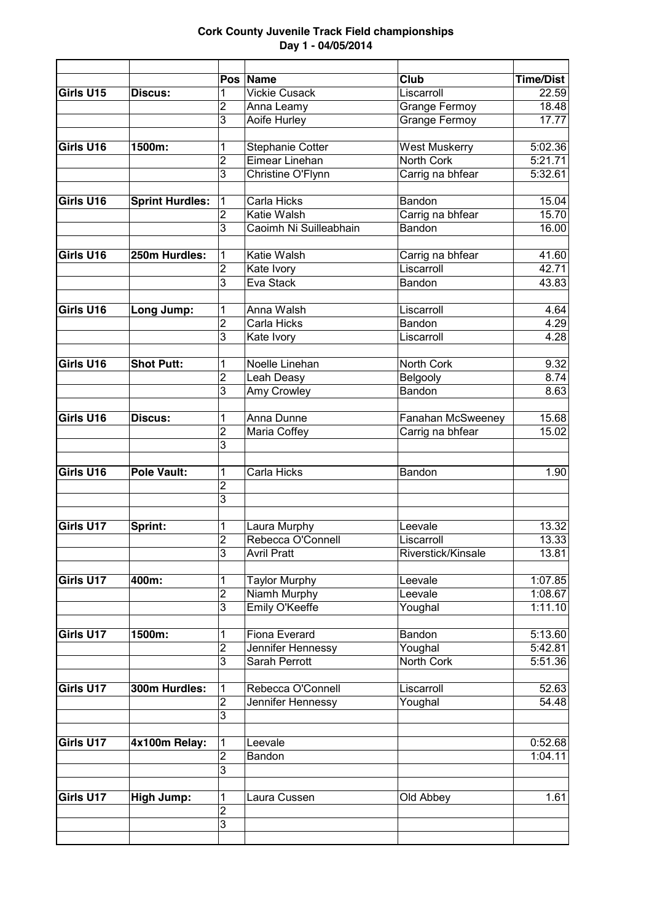|           |                        |                | Pos Name                | <b>Club</b>          | <b>Time/Dist</b> |
|-----------|------------------------|----------------|-------------------------|----------------------|------------------|
| Girls U15 | Discus:                | 1              | <b>Vickie Cusack</b>    | Liscarroll           | 22.59            |
|           |                        | 2              | Anna Leamy              | <b>Grange Fermoy</b> | 18.48            |
|           |                        | $\overline{3}$ | Aoife Hurley            | Grange Fermoy        | 17.77            |
| Girls U16 | 1500m:                 | 1              | <b>Stephanie Cotter</b> | <b>West Muskerry</b> | 5:02.36          |
|           |                        | 2              | Eimear Linehan          | North Cork           | 5:21.71          |
|           |                        | 3              |                         |                      | 5:32.61          |
|           |                        |                | Christine O'Flynn       | Carrig na bhfear     |                  |
| Girls U16 | <b>Sprint Hurdles:</b> | 1              | Carla Hicks             | Bandon               | 15.04            |
|           |                        | 2              | Katie Walsh             | Carrig na bhfear     | 15.70            |
|           |                        | 3              | Caoimh Ni Suilleabhain  | Bandon               | 16.00            |
|           |                        |                |                         |                      |                  |
| Girls U16 | 250m Hurdles:          | 1              | Katie Walsh             | Carrig na bhfear     | 41.60            |
|           |                        | $\overline{2}$ | Kate Ivory              | Liscarroll           | 42.71            |
|           |                        | 3              | Eva Stack               | Bandon               | 43.83            |
| Girls U16 | Long Jump:             | 1              | Anna Walsh              | Liscarroll           | 4.64             |
|           |                        | $\overline{2}$ | Carla Hicks             | Bandon               | 4.29             |
|           |                        | $\overline{3}$ | Kate Ivory              | Liscarroll           | 4.28             |
|           |                        |                |                         |                      |                  |
| Girls U16 | <b>Shot Putt:</b>      | 1              | Noelle Linehan          | <b>North Cork</b>    | 9.32             |
|           |                        | 2              | Leah Deasy              | Belgooly             | 8.74             |
|           |                        | 3              | Amy Crowley             | Bandon               | 8.63             |
| Girls U16 | Discus:                | 1              | Anna Dunne              | Fanahan McSweeney    | 15.68            |
|           |                        | $\overline{2}$ | Maria Coffey            | Carrig na bhfear     | 15.02            |
|           |                        | $\overline{3}$ |                         |                      |                  |
|           |                        |                |                         |                      |                  |
| Girls U16 | <b>Pole Vault:</b>     | 1              | Carla Hicks             | Bandon               | 1.90             |
|           |                        | 2              |                         |                      |                  |
|           |                        | 3              |                         |                      |                  |
| Girls U17 | Sprint:                | 1              | Laura Murphy            | Leevale              | 13.32            |
|           |                        | $\overline{2}$ | Rebecca O'Connell       | Liscarroll           | 13.33            |
|           |                        | $\overline{3}$ | <b>Avril Pratt</b>      | Riverstick/Kinsale   | 13.81            |
|           |                        |                |                         |                      |                  |
| Girls U17 | 400m:                  | 1              | <b>Taylor Murphy</b>    | Leevale              | 1:07.85          |
|           |                        | $\overline{2}$ | Niamh Murphy            | Leevale              | 1:08.67          |
|           |                        | $\overline{3}$ | Emily O'Keeffe          | Youghal              | 1:11.10          |
| Girls U17 | 1500m:                 | 1              | Fiona Everard           | Bandon               | 5:13.60          |
|           |                        | $\overline{2}$ | Jennifer Hennessy       | Youghal              | 5:42.81          |
|           |                        | $\overline{3}$ | <b>Sarah Perrott</b>    | North Cork           | 5:51.36          |
|           |                        |                |                         |                      |                  |
| Girls U17 | 300m Hurdles:          | 1              | Rebecca O'Connell       | Liscarroll           | 52.63            |
|           |                        | $\mathbf 2$    | Jennifer Hennessy       | Youghal              | 54.48            |
|           |                        | $\overline{3}$ |                         |                      |                  |
| Girls U17 | 4x100m Relay:          | 1              | Leevale                 |                      | 0:52.68          |
|           |                        | $\overline{2}$ | Bandon                  |                      | 1:04.11          |
|           |                        | $\overline{3}$ |                         |                      |                  |
|           |                        |                |                         |                      |                  |
| Girls U17 | <b>High Jump:</b>      | 1              | Laura Cussen            | Old Abbey            | 1.61             |
|           |                        | 2              |                         |                      |                  |
|           |                        | $\overline{3}$ |                         |                      |                  |
|           |                        |                |                         |                      |                  |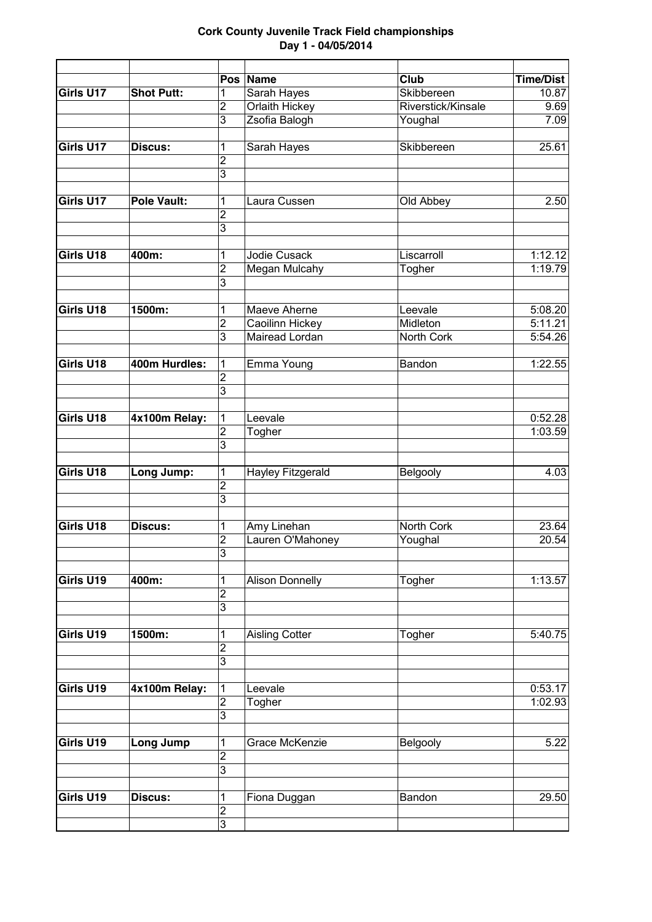|           |                   | Pos                 | Name                   | Club               | <b>Time/Dist</b> |
|-----------|-------------------|---------------------|------------------------|--------------------|------------------|
| Girls U17 | <b>Shot Putt:</b> | 1                   | Sarah Hayes            | Skibbereen         | 10.87            |
|           |                   | 2                   | Orlaith Hickey         | Riverstick/Kinsale | 9.69             |
|           |                   | $\overline{3}$      | Zsofia Balogh          | Youghal            | 7.09             |
| Girls U17 | Discus:           | 1                   | Sarah Hayes            | Skibbereen         | 25.61            |
|           |                   | $\overline{2}$      |                        |                    |                  |
|           |                   | $\overline{3}$      |                        |                    |                  |
|           |                   |                     |                        |                    |                  |
| Girls U17 | Pole Vault:       | 1                   | Laura Cussen           | Old Abbey          | 2.50             |
|           |                   | 2                   |                        |                    |                  |
|           |                   | 3                   |                        |                    |                  |
|           |                   |                     |                        |                    |                  |
| Girls U18 | 400m:             | 1                   | <b>Jodie Cusack</b>    | Liscarroll         | 1:12.12          |
|           |                   | $\overline{2}$<br>3 | Megan Mulcahy          | Togher             | 1:19.79          |
|           |                   |                     |                        |                    |                  |
| Girls U18 | 1500m:            | 1                   | <b>Maeve Aherne</b>    | Leevale            | 5:08.20          |
|           |                   | 2                   | Caoilinn Hickey        | Midleton           | 5:11.21          |
|           |                   | 3                   | <b>Mairead Lordan</b>  | North Cork         | 5:54.26          |
|           |                   |                     |                        |                    |                  |
| Girls U18 | 400m Hurdles:     | 1                   | Emma Young             | Bandon             | 1:22.55          |
|           |                   | $\overline{2}$      |                        |                    |                  |
|           |                   | $\overline{3}$      |                        |                    |                  |
| Girls U18 | 4x100m Relay:     | 1                   | Leevale                |                    | 0:52.28          |
|           |                   | $\overline{2}$      | Togher                 |                    | 1:03.59          |
|           |                   | 3                   |                        |                    |                  |
|           |                   |                     |                        |                    |                  |
| Girls U18 | Long Jump:        | 1                   | Hayley Fitzgerald      | Belgooly           | 4.03             |
|           |                   | $\overline{2}$<br>3 |                        |                    |                  |
|           |                   |                     |                        |                    |                  |
| Girls U18 | Discus:           | 1                   | Amy Linehan            | North Cork         | 23.64            |
|           |                   | $\overline{2}$      | Lauren O'Mahoney       | Youghal            | 20.54            |
|           |                   | 3                   |                        |                    |                  |
|           |                   |                     |                        |                    |                  |
| Girls U19 | 400m:             | 1                   | <b>Alison Donnelly</b> | Togher             | 1:13.57          |
|           |                   | $\overline{2}$      |                        |                    |                  |
|           |                   | $\overline{3}$      |                        |                    |                  |
| Girls U19 | 1500m:            |                     |                        |                    |                  |
|           |                   | 1<br>$\overline{2}$ | <b>Aisling Cotter</b>  | Togher             | 5:40.75          |
|           |                   | 3                   |                        |                    |                  |
|           |                   |                     |                        |                    |                  |
| Girls U19 | 4x100m Relay:     | 1                   | Leevale                |                    | 0:53.17          |
|           |                   | $\overline{2}$      | Togher                 |                    | 1:02.93          |
|           |                   | 3                   |                        |                    |                  |
|           |                   |                     |                        |                    |                  |
| Girls U19 | Long Jump         | 1                   | <b>Grace McKenzie</b>  | Belgooly           | 5.22             |
|           |                   | $\overline{2}$      |                        |                    |                  |
|           |                   | $\overline{3}$      |                        |                    |                  |
| Girls U19 | Discus:           | 1                   | Fiona Duggan           | Bandon             | 29.50            |
|           |                   | $\overline{2}$      |                        |                    |                  |
|           |                   | 3                   |                        |                    |                  |
|           |                   |                     |                        |                    |                  |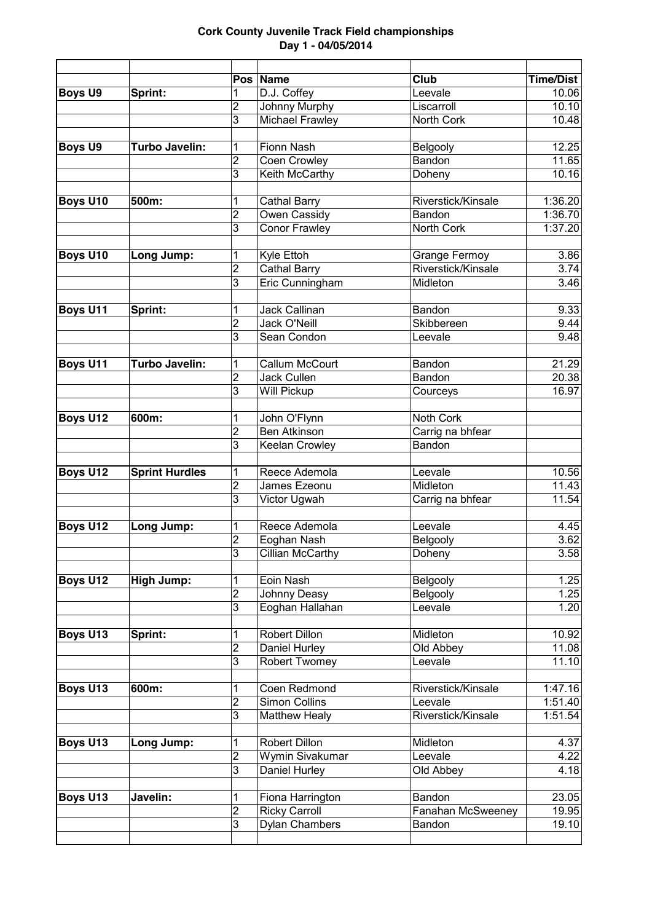|                 |                       | Pos l                   | <b>Name</b>             | Club               | <b>Time/Dist</b>   |
|-----------------|-----------------------|-------------------------|-------------------------|--------------------|--------------------|
| <b>Boys U9</b>  | Sprint:               | 1                       | D.J. Coffey             | Leevale            | 10.06              |
|                 |                       | 2<br>3                  | Johnny Murphy           | Liscarroll         | 10.10<br>10.48     |
|                 |                       |                         | <b>Michael Frawley</b>  | North Cork         |                    |
| <b>Boys U9</b>  | Turbo Javelin:        | 1                       | Fionn Nash              | Belgooly           | 12.25              |
|                 |                       | 2                       | Coen Crowley            | Bandon             | 11.65              |
|                 |                       | 3                       | Keith McCarthy          | Doheny             | 10.16              |
| Boys U10        | 500m:                 | 1                       | <b>Cathal Barry</b>     | Riverstick/Kinsale | 1:36.20            |
|                 |                       | $\overline{2}$          | Owen Cassidy            | Bandon             | 1:36.70            |
|                 |                       | 3                       | Conor Frawley           | North Cork         | 1:37.20            |
|                 |                       |                         |                         |                    |                    |
| <b>Boys U10</b> | Long Jump:            | 1                       | Kyle Ettoh              | Grange Fermoy      | 3.86               |
|                 |                       | $\overline{2}$          | <b>Cathal Barry</b>     | Riverstick/Kinsale | 3.74               |
|                 |                       | 3                       | Eric Cunningham         | Midleton           | 3.46               |
|                 |                       |                         |                         |                    |                    |
| Boys U11        | Sprint:               | 1                       | <b>Jack Callinan</b>    | Bandon             | 9.33               |
|                 |                       | $\overline{2}$          | Jack O'Neill            | Skibbereen         | 9.44               |
|                 |                       | 3                       | Sean Condon             | Leevale            | 9.48               |
|                 |                       |                         |                         |                    |                    |
| <b>Boys U11</b> | <b>Turbo Javelin:</b> | 1                       | <b>Callum McCourt</b>   | Bandon             | $\overline{21.29}$ |
|                 |                       | $\overline{2}$          | Jack Cullen             | Bandon             | 20.38              |
|                 |                       | 3                       | Will Pickup             | Courceys           | 16.97              |
|                 |                       |                         |                         |                    |                    |
| <b>Boys U12</b> | 600m:                 | 1                       | John O'Flynn            | Noth Cork          |                    |
|                 |                       | $\overline{2}$          | <b>Ben Atkinson</b>     | Carrig na bhfear   |                    |
|                 |                       | 3                       | Keelan Crowley          | Bandon             |                    |
| <b>Boys U12</b> | <b>Sprint Hurdles</b> | 1                       | Reece Ademola           | Leevale            | 10.56              |
|                 |                       | $\overline{c}$          | James Ezeonu            | Midleton           | 11.43              |
|                 |                       | 3                       | Victor Ugwah            | Carrig na bhfear   | 11.54              |
|                 |                       |                         |                         |                    |                    |
| <b>Boys U12</b> | Long Jump:            | 1                       | Reece Ademola           | Leevale            | 4.45               |
|                 |                       | $\overline{2}$          | Eoghan Nash             | Belgooly           | 3.62               |
|                 |                       | $\overline{3}$          | <b>Cillian McCarthy</b> | Doheny             | 3.58               |
|                 |                       |                         | Eoin Nash               |                    |                    |
| Boys U12        | <b>High Jump:</b>     | 1<br>$\overline{c}$     |                         | Belgooly           | 1.25               |
|                 |                       | 3                       | Johnny Deasy            | Belgooly           | 1.25               |
|                 |                       |                         | Eoghan Hallahan         | Leevale            | 1.20               |
| Boys U13        | Sprint:               | 1                       | Robert Dillon           | Midleton           | 10.92              |
|                 |                       | $\overline{2}$          | Daniel Hurley           | Old Abbey          | 11.08              |
|                 |                       | 3                       | Robert Twomey           | Leevale            | 11.10              |
|                 |                       |                         |                         |                    |                    |
| Boys U13        | 600m:                 | 1                       | Coen Redmond            | Riverstick/Kinsale | 1:47.16            |
|                 |                       | $\overline{2}$          | Simon Collins           | Leevale            | 1:51.40            |
|                 |                       | 3                       | <b>Matthew Healy</b>    | Riverstick/Kinsale | 1:51.54            |
| Boys U13        | Long Jump:            | 1                       | Robert Dillon           | Midleton           | 4.37               |
|                 |                       | $\overline{2}$          | Wymin Sivakumar         | Leevale            | 4.22               |
|                 |                       | 3                       | Daniel Hurley           | Old Abbey          | 4.18               |
|                 |                       |                         |                         |                    |                    |
| Boys U13        | Javelin:              | 1                       | Fiona Harrington        | Bandon             | 23.05              |
|                 |                       | $\overline{\mathbf{c}}$ | <b>Ricky Carroll</b>    | Fanahan McSweeney  | 19.95              |
|                 |                       | 3                       | Dylan Chambers          | Bandon             | 19.10              |
|                 |                       |                         |                         |                    |                    |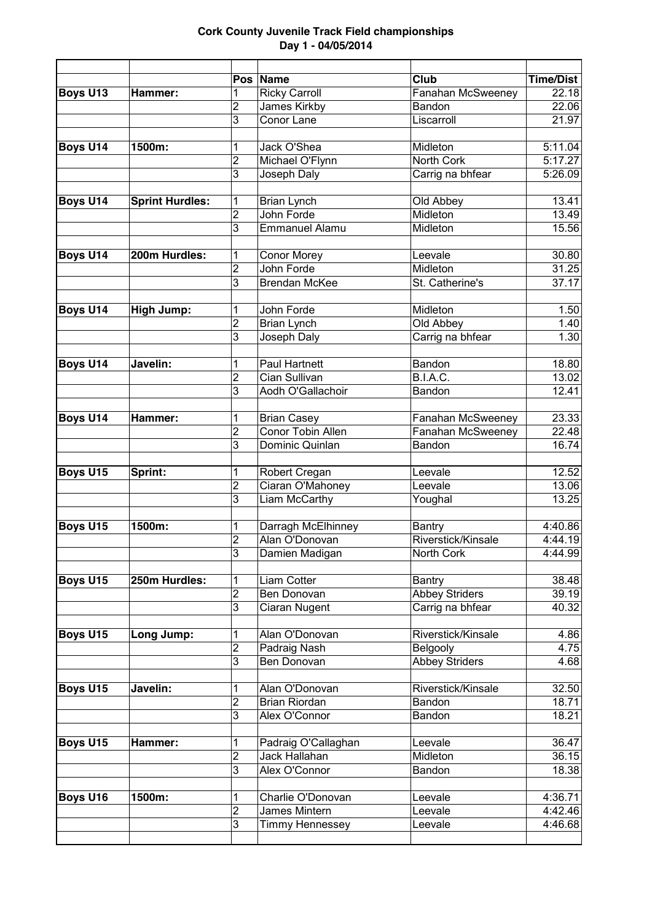|                 |                        | Pos                 | Name                                 | Club                          | <b>Time/Dist</b>   |
|-----------------|------------------------|---------------------|--------------------------------------|-------------------------------|--------------------|
| <b>Boys U13</b> | Hammer:                | 1                   | <b>Ricky Carroll</b>                 | Fanahan McSweeney             | 22.18              |
|                 |                        | $\overline{c}$      | <b>James Kirkby</b>                  | Bandon                        | 22.06              |
|                 |                        | 3                   | Conor Lane                           | Liscarroll                    | 21.97              |
| <b>Boys U14</b> | 1500m:                 | 1                   | Jack O'Shea                          | Midleton                      | 5:11.04            |
|                 |                        | $\overline{2}$      | Michael O'Flynn                      | North Cork                    | 5:17.27            |
|                 |                        | 3                   | Joseph Daly                          | Carrig na bhfear              | 5:26.09            |
|                 |                        |                     |                                      |                               |                    |
| Boys U14        | <b>Sprint Hurdles:</b> | 1                   | <b>Brian Lynch</b>                   | Old Abbey                     | 13.41              |
|                 |                        | $\overline{c}$      | John Forde                           | Midleton                      | 13.49              |
|                 |                        | 3                   | <b>Emmanuel Alamu</b>                | Midleton                      | 15.56              |
|                 |                        |                     |                                      |                               |                    |
| Boys U14        | 200m Hurdles:          | 1                   | <b>Conor Morey</b>                   | Leevale                       | 30.80              |
|                 |                        | $\overline{2}$      | John Forde                           | Midleton                      | 31.25              |
|                 |                        | 3                   | <b>Brendan McKee</b>                 | St. Catherine's               | 37.17              |
|                 |                        |                     |                                      |                               |                    |
| <b>Boys U14</b> | <b>High Jump:</b>      | 1<br>$\overline{2}$ | John Forde                           | Midleton                      | 1.50               |
|                 |                        | 3                   | <b>Brian Lynch</b><br>Joseph Daly    | Old Abbey<br>Carrig na bhfear | 1.40<br>1.30       |
|                 |                        |                     |                                      |                               |                    |
| <b>Boys U14</b> | Javelin:               | 1                   | Paul Hartnett                        | Bandon                        | 18.80              |
|                 |                        | $\overline{2}$      | <b>Cian Sullivan</b>                 | B.I.A.C.                      | 13.02              |
|                 |                        | 3                   | Aodh O'Gallachoir                    | Bandon                        | 12.41              |
|                 |                        |                     |                                      |                               |                    |
| <b>Boys U14</b> | Hammer:                | 1                   | <b>Brian Casey</b>                   | Fanahan McSweeney             | 23.33              |
|                 |                        | $\overline{2}$      | Conor Tobin Allen                    | Fanahan McSweeney             | 22.48              |
|                 |                        | 3                   | Dominic Quinlan                      | Bandon                        | 16.74              |
| <b>Boys U15</b> | Sprint:                | 1                   | Robert Cregan                        | Leevale                       | 12.52              |
|                 |                        | $\overline{2}$      | Ciaran O'Mahoney                     | Leevale                       | 13.06              |
|                 |                        | 3                   | Liam McCarthy                        | Youghal                       | 13.25              |
|                 | 1500m:                 |                     |                                      |                               |                    |
| <b>Boys U15</b> |                        | 1<br>$\overline{c}$ | Darragh McElhinney<br>Alan O'Donovan | Bantry<br>Riverstick/Kinsale  | 4:40.86<br>4:44.19 |
|                 |                        | $\overline{3}$      | Damien Madigan                       | North Cork                    | 4:44.99            |
|                 |                        |                     |                                      |                               |                    |
| <b>Boys U15</b> | 250m Hurdles:          | 1                   | Liam Cotter                          | Bantry                        | 38.48              |
|                 |                        | $\overline{2}$      | Ben Donovan                          | <b>Abbey Striders</b>         | 39.19              |
|                 |                        | 3                   | Ciaran Nugent                        | Carrig na bhfear              | 40.32              |
|                 |                        |                     |                                      |                               |                    |
| <b>Boys U15</b> | Long Jump:             | 1                   | Alan O'Donovan                       | Riverstick/Kinsale            | 4.86               |
|                 |                        | $\overline{2}$      | Padraig Nash                         | Belgooly                      | 4.75               |
|                 |                        | 3                   | Ben Donovan                          | <b>Abbey Striders</b>         | 4.68               |
| Boys U15        | Javelin:               | 1                   | Alan O'Donovan                       | Riverstick/Kinsale            | 32.50              |
|                 |                        | $\overline{c}$      | <b>Brian Riordan</b>                 | Bandon                        | 18.71              |
|                 |                        | 3                   | Alex O'Connor                        | Bandon                        | 18.21              |
| <b>Boys U15</b> | Hammer:                | 1                   | Padraig O'Callaghan                  | Leevale                       | 36.47              |
|                 |                        | $\overline{2}$      | Jack Hallahan                        | Midleton                      | 36.15              |
|                 |                        | 3                   | Alex O'Connor                        | Bandon                        | 18.38              |
|                 |                        |                     |                                      |                               |                    |
| <b>Boys U16</b> | 1500m:                 | 1                   | Charlie O'Donovan                    | Leevale                       | 4:36.71            |
|                 |                        | $\overline{2}$      | James Mintern                        | Leevale                       | 4:42.46            |
|                 |                        | 3                   | Timmy Hennessey                      | Leevale                       | 4:46.68            |
|                 |                        |                     |                                      |                               |                    |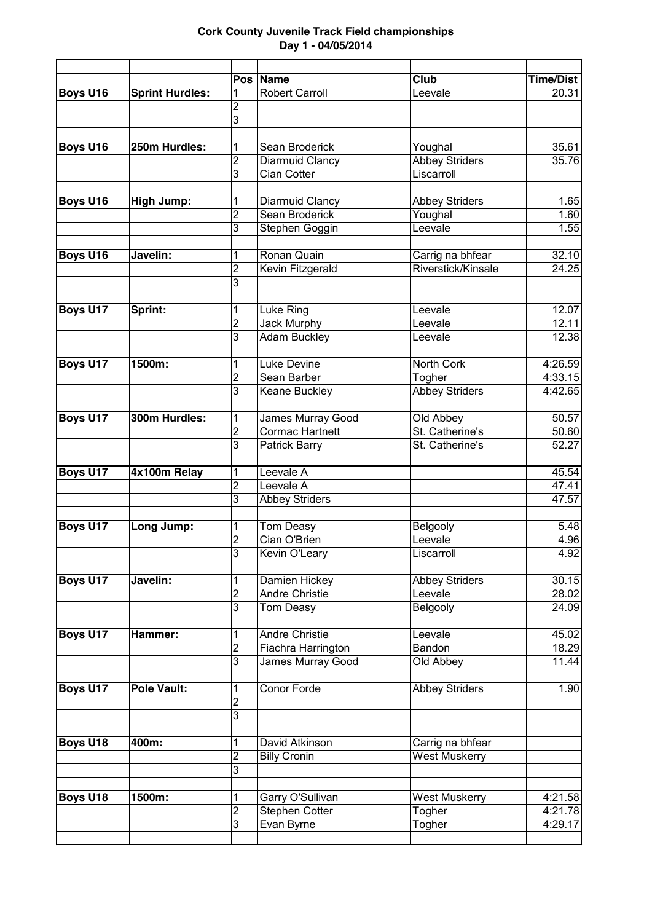|                 |                        | <b>Pos</b>              | Name                               | Club                           | <b>Time/Dist</b> |
|-----------------|------------------------|-------------------------|------------------------------------|--------------------------------|------------------|
| <b>Boys U16</b> | <b>Sprint Hurdles:</b> | 1                       | <b>Robert Carroll</b>              | Leevale                        | 20.31            |
|                 |                        | $\overline{2}$          |                                    |                                |                  |
|                 |                        | $\overline{3}$          |                                    |                                |                  |
| <b>Boys U16</b> | 250m Hurdles:          | 1                       | Sean Broderick                     | Youghal                        | 35.61            |
|                 |                        | $\overline{2}$          | Diarmuid Clancy                    | <b>Abbey Striders</b>          | 35.76            |
|                 |                        | 3                       | Cian Cotter                        | Liscarroll                     |                  |
|                 |                        |                         |                                    |                                |                  |
| Boys U16        | <b>High Jump:</b>      | 1                       | Diarmuid Clancy                    | <b>Abbey Striders</b>          | 1.65             |
|                 |                        | $\overline{c}$          | Sean Broderick                     | Youghal                        | 1.60             |
|                 |                        | 3                       | Stephen Goggin                     | Leevale                        | 1.55             |
|                 |                        |                         |                                    |                                |                  |
| <b>Boys U16</b> | Javelin:               | 1                       | Ronan Quain                        | Carrig na bhfear               | 32.10            |
|                 |                        | $\overline{c}$          | Kevin Fitzgerald                   | Riverstick/Kinsale             | 24.25            |
|                 |                        | $\overline{3}$          |                                    |                                |                  |
|                 |                        |                         |                                    |                                |                  |
| <b>Boys U17</b> | Sprint:                | 1                       | Luke Ring                          | Leevale                        | 12.07            |
|                 |                        | $\overline{c}$          | Jack Murphy                        | Leevale                        | 12.11            |
|                 |                        | 3                       | <b>Adam Buckley</b>                | Leevale                        | 12.38            |
| <b>Boys U17</b> | 1500m:                 | 1                       | <b>Luke Devine</b>                 | <b>North Cork</b>              | 4:26.59          |
|                 |                        | $\overline{2}$          | Sean Barber                        | Togher                         | 4:33.15          |
|                 |                        | 3                       | Keane Buckley                      | <b>Abbey Striders</b>          | 4:42.65          |
|                 |                        |                         |                                    |                                |                  |
| <b>Boys U17</b> | 300m Hurdles:          | 1                       | James Murray Good                  | Old Abbey                      | 50.57            |
|                 |                        | $\overline{c}$          | <b>Cormac Hartnett</b>             | St. Catherine's                | 50.60            |
|                 |                        | 3                       | Patrick Barry                      | St. Catherine's                | 52.27            |
|                 |                        |                         |                                    |                                |                  |
| <b>Boys U17</b> | 4x100m Relay           | 1                       | Leevale A                          |                                | 45.54            |
|                 |                        | $\overline{2}$          | Leevale A                          |                                | 47.41            |
|                 |                        | 3                       | <b>Abbey Striders</b>              |                                | 47.57            |
|                 |                        |                         |                                    |                                |                  |
| <b>Boys U17</b> | Long Jump:             | 1                       | Tom Deasy                          | Belgooly                       | 5.48             |
|                 |                        | $\overline{2}$          | Cian O'Brien                       | Leevale                        | 4.96             |
|                 |                        | 3                       | Kevin O'Leary                      | Liscarroll                     | 4.92             |
| <b>Boys U17</b> | Javelin:               |                         | Damien Hickey                      | <b>Abbey Striders</b>          | 30.15            |
|                 |                        | 1<br>$\overline{2}$     | <b>Andre Christie</b>              | Leevale                        | 28.02            |
|                 |                        | 3                       | Tom Deasy                          | Belgooly                       | 24.09            |
|                 |                        |                         |                                    |                                |                  |
| Boys U17        | Hammer:                | 1                       | Andre Christie                     | Leevale                        | 45.02            |
|                 |                        | $\overline{2}$          | Fiachra Harrington                 | Bandon                         | 18.29            |
|                 |                        | 3                       | James Murray Good                  | Old Abbey                      | 11.44            |
|                 |                        |                         |                                    |                                |                  |
| <b>Boys U17</b> | <b>Pole Vault:</b>     | 1                       | Conor Forde                        | <b>Abbey Striders</b>          | 1.90             |
|                 |                        | $\overline{2}$          |                                    |                                |                  |
|                 |                        | 3                       |                                    |                                |                  |
|                 |                        |                         |                                    |                                |                  |
| <b>Boys U18</b> | 400m:                  | 1                       | David Atkinson                     | Carrig na bhfear               |                  |
|                 |                        | $\overline{\mathbf{c}}$ | <b>Billy Cronin</b>                | <b>West Muskerry</b>           |                  |
|                 |                        | 3                       |                                    |                                |                  |
| <b>Boys U18</b> | 1500m:                 | 1                       |                                    |                                | 4:21.58          |
|                 |                        | $\overline{2}$          | Garry O'Sullivan<br>Stephen Cotter | <b>West Muskerry</b><br>Togher | 4:21.78          |
|                 |                        | 3                       | Evan Byrne                         | Togher                         | 4:29.17          |
|                 |                        |                         |                                    |                                |                  |
|                 |                        |                         |                                    |                                |                  |